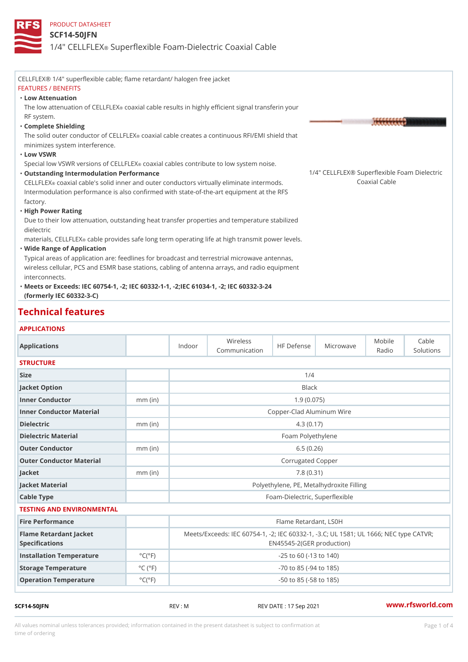#### SCF14-50JFN

# 1/4" CELL®FSLEPXerflexible Foam-Dielectric Coaxial Cable

| CELLFLEX® 1/4" superflexible cable; flame retardant/ halogen free jacket                        |  |
|-------------------------------------------------------------------------------------------------|--|
| <b>FEATURES / BENEFITS</b>                                                                      |  |
| "Low Attenuation                                                                                |  |
| The low attenuation of COEalxLi FIL EXble results in highly efficient signal transferin your    |  |
| RF system.                                                                                      |  |
| "Complete Shielding                                                                             |  |
| The solid outer conductot <b>c b and all EbBK</b> creates a continuous RFI/EMI shield that      |  |
| minimizes system interference.                                                                  |  |
| "Low VSWR                                                                                       |  |
| Special low VSWR versionsconta Cial Lichib EeXs contribute to low system noise.                 |  |
| 1/4" CELLFLEX® Superflexible Foar<br>"Outstanding Intermodulation Performance                   |  |
| CELLF& EXaxial cable's solid inner and outer conductors virtually eliminateC prateiran o Gasble |  |
| Intermodulation performance is also confirmed with state-of-the-art equipment at the RFS        |  |
| factory.                                                                                        |  |
| "High Power Rating                                                                              |  |
| Due to their low attenuation, outstanding heat transfer properties and temperature stabilized   |  |
| dielectric                                                                                      |  |
| materials, CEL LAFL IEX provides safe long term operating life at high transmit power levels.   |  |
| "Wide Range of Application                                                                      |  |
| Typical areas of application are: feedlines for broadcast and terrestrial microwave antennas,   |  |
| wireless cellular, PCS and ESMR base stations, cabling of antenna arrays, and radio equipment   |  |
| interconnects.                                                                                  |  |
| "Meets or Excelle@Gs60754-1, -2; IEC 60332-1-1, -2; IEC 61034-1, -2; IEC 60332-3-24             |  |
| (formerly IEC 60332-3-C)                                                                        |  |

#### Technical features

#### APPLICATIONS

| Applications                                    |                              | Indoor                           | Wireless<br>Communication                                                                |  | HF DefehseMicrowaye | Mobile<br>Radio | Cable<br>Solutions |
|-------------------------------------------------|------------------------------|----------------------------------|------------------------------------------------------------------------------------------|--|---------------------|-----------------|--------------------|
| <b>STRUCTURE</b>                                |                              |                                  |                                                                                          |  |                     |                 |                    |
| Size                                            |                              |                                  | 1/4                                                                                      |  |                     |                 |                    |
| Jacket Option                                   |                              |                                  | <b>Black</b>                                                                             |  |                     |                 |                    |
| Inner Conductor                                 | $mm$ (in)                    |                                  | 1.9(0.075)                                                                               |  |                     |                 |                    |
| Inner Conductor Material                        |                              | Copper-Clad Aluminum Wire        |                                                                                          |  |                     |                 |                    |
| Dielectric                                      | $mm$ (in)                    |                                  | 4.3(0.17)                                                                                |  |                     |                 |                    |
| Dielectric Material                             |                              |                                  | Foam Polyethylene                                                                        |  |                     |                 |                    |
| Outer Conductor                                 | $mm$ (in)                    |                                  |                                                                                          |  | 6.5(0.26)           |                 |                    |
| Outer Conductor Material                        | Corrugated Copper            |                                  |                                                                                          |  |                     |                 |                    |
| Jacket                                          | $mm$ (in)                    |                                  | 7.8(0.31)                                                                                |  |                     |                 |                    |
| Jacket Material                                 |                              |                                  | Polyethylene, PE, Metalhydroxite Filling                                                 |  |                     |                 |                    |
| Cable Type                                      |                              |                                  | Foam-Dielectric, Superflexible                                                           |  |                     |                 |                    |
| TESTING AND ENVIRONMENTAL                       |                              |                                  |                                                                                          |  |                     |                 |                    |
| Fire Performance                                |                              | Flame Retardant, LS0H            |                                                                                          |  |                     |                 |                    |
| Flame Retardant Jacket<br><b>Specifications</b> |                              |                                  | Meets/Exceeds: IEC 60754-1, -2; IEC 60332-1, -3.C; UL 1581;<br>EN45545-2(GER production) |  |                     |                 |                    |
| Installation Temperature                        | $°C(^{\circ}F)$              | $-25$ to 60 ( $-13$ to 140)      |                                                                                          |  |                     |                 |                    |
| Storage Temperature                             | $^{\circ}$ C ( $^{\circ}$ F  | $-70$ to $85$ ( $-94$ to $185$ ) |                                                                                          |  |                     |                 |                    |
| Operation Temperature                           | $^{\circ}$ C ( $^{\circ}$ F) | $-50$ to $85$ ( $-58$ to $185$ ) |                                                                                          |  |                     |                 |                    |

SCF14-50JFN REV : M REV : M REV DATE : 17 Sep 2021 WWW.rfsworld.com

All values nominal unless tolerances provided; information contained in the present datasheet is subject to Pcapgeligim attio time of ordering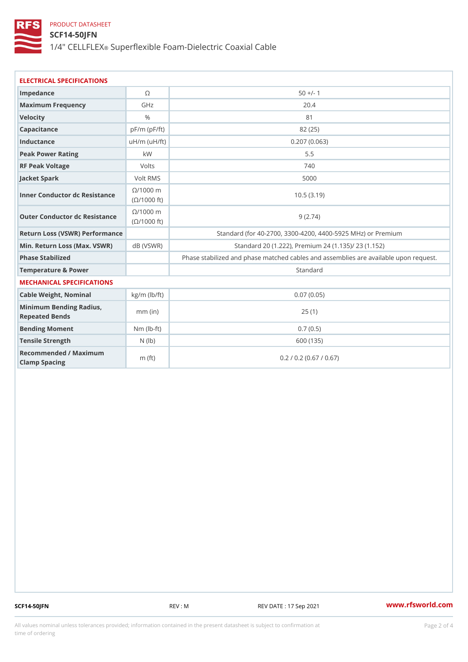SCF14-50JFN

1/4" CELL®FSLEPXerflexible Foam-Dielectric Coaxial Cable

| ELECTRICAL SPECIFICATIONS                    |                    |                                                              |  |  |  |  |  |
|----------------------------------------------|--------------------|--------------------------------------------------------------|--|--|--|--|--|
| Impedance                                    | $\odot$            | $50 +/- 1$                                                   |  |  |  |  |  |
| Maximum Frequency                            | GHz                | 20.4                                                         |  |  |  |  |  |
| Velocity                                     | $\frac{0}{0}$      | 81                                                           |  |  |  |  |  |
| Capacitance                                  | $pF/m$ ( $pF/ft$ ) | 82 (25)                                                      |  |  |  |  |  |
| Inductance                                   | $uH/m$ ( $uF/ft$ ) | 0.207(0.063)                                                 |  |  |  |  |  |
| Peak Power Rating                            | k W                | $5.5$                                                        |  |  |  |  |  |
| RF Peak Voltage                              | Volts              | 740                                                          |  |  |  |  |  |
| Jacket Spark                                 | Volt RMS           | 5000                                                         |  |  |  |  |  |
| Inner Conductor dc Resistance<br>(©/1000 ft) | $@/1000$ n         | 10.5(3.19)                                                   |  |  |  |  |  |
| Outer Conductor dc Resistance ( 0/1000 ft)   | $@/1000$ n         | 9(2.74)                                                      |  |  |  |  |  |
| Return Loss (VSWR) Performance               |                    | Standard (for 40-2700, 3300-4200, 4400-5925 MHz) or P        |  |  |  |  |  |
| Min. Return Loss (Max. V&BVRVSWR)            |                    | Standard 20 (1.222), Premium 24 (1.135)/ 23 (1.152           |  |  |  |  |  |
| Phase Stabilized                             |                    | Phase stabilized and phase matched cables and assemblies are |  |  |  |  |  |
| Temperature & Power                          |                    | Standard                                                     |  |  |  |  |  |
| MECHANICAL SPECIFICATIONS                    |                    |                                                              |  |  |  |  |  |
| Cable Weight, Nominal   kg/m (lb/ft)         |                    | 0.07(0.05)                                                   |  |  |  |  |  |
| Minimum Bending Radius,<br>Repeated Bends    | $mm$ (in)          | 25(1)                                                        |  |  |  |  |  |
| Bending Moment                               | $Nm (lb - t)$      | 0.7(0.5)                                                     |  |  |  |  |  |
| Tensile Strength                             | $N$ ( $ b)$        | 600 (135)                                                    |  |  |  |  |  |
| Recommended / Maximum<br>Clamp Spacing       | m $(ft)$           | 0.2 / 0.2 (0.67 / 0.67)                                      |  |  |  |  |  |

SCF14-50JFN REV : M REV DATE : 17 Sep 2021 [www.](https://www.rfsworld.com)rfsworld.com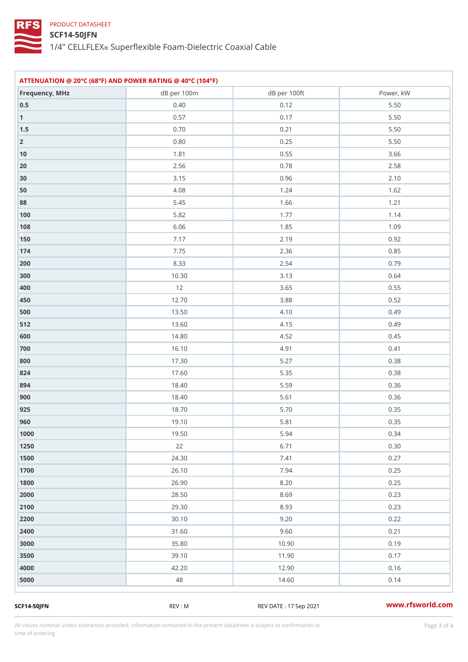### SCF14-50JFN

1/4" CELL®FSLEPXerflexible Foam-Dielectric Coaxial Cable

| ATTENUATION @ 20°C (68°F) AND POWER RATING @ 40°C (104°F) |                 |                 |              |  |  |
|-----------------------------------------------------------|-----------------|-----------------|--------------|--|--|
| Frequency, MHz                                            | dB per 100m     | dB per 100ft    | Power, kW    |  |  |
| $0\ .\ 5$                                                 | $0.40\,$        | 0.12            | $5\,.\,5\,0$ |  |  |
| 1                                                         | 0.57            | 0.17            | $5.50$       |  |  |
| $1.5\,$                                                   | $0\,$ . 7 $0\,$ | $0.21$          | $5\,.\,5\,0$ |  |  |
| $\overline{2}$                                            | $0$ . $8\ 0$    | $0.25\,$        | $5\,.\,5\,0$ |  |  |
| 10                                                        | $1.81$          | $0.55$          | $3.66$       |  |  |
| $20$                                                      | $2.56$          | $0.78$          | $2.58$       |  |  |
| 30                                                        | $3.15$          | $0.96\,$        | $2.10$       |  |  |
| 50                                                        | 4.08            | 1.24            | 1.62         |  |  |
| 88                                                        | $5.45$          | 1.66            | $1.21$       |  |  |
| $100$                                                     | $5.82\,$        | $1.77$          | 1.14         |  |  |
| 108                                                       | $6.06\,$        | $1.85$          | $1.09$       |  |  |
| 150                                                       | $7.17$          | $2.19$          | $0.92\,$     |  |  |
| 174                                                       | 7.75            | 2.36            | 0.85         |  |  |
| 200                                                       | 8.33            | $2.54$          | 0.79         |  |  |
| 300                                                       | 10.30           | 3.13            | $0.64$       |  |  |
| 400                                                       | $12$            | $3.65\,$        | $0$ . 55     |  |  |
| 450                                                       | 12.70           | $3.88$          | $0\,.\,5\,2$ |  |  |
| 500                                                       | 13.50           | 4.10            | 0.49         |  |  |
| 5 1 2                                                     | 13.60           | $4.15$          | 0.49         |  |  |
| 600                                                       | 14.80           | 4.52            | 0.45         |  |  |
| 700                                                       | 16.10           | 4.91            | $0.41$       |  |  |
| 800                                                       | 17.30           | $5.27\,$        | $0.38\,$     |  |  |
| 824                                                       | 17.60           | $5.35$          | 0.38         |  |  |
| 894                                                       | 18.40           | $5.59\,$        | $0.36$       |  |  |
| 900                                                       | 18.40           | 5.61            | 0.36         |  |  |
| 925                                                       | 18.70           | $5\,$ . 7 $0\,$ | $0.35\,$     |  |  |
| 960                                                       | 19.10           | $5.81$          | $0.35\,$     |  |  |
| 1000                                                      | 19.50           | $5.94$          | 0.34         |  |  |
| 1250                                                      | 22              | 6.71            | $0.30$       |  |  |
| 1500                                                      | $2\,4$ . $3\,0$ | 7.41            | 0.27         |  |  |
| 1700                                                      | $26.10$         | 7.94            | $0.25$       |  |  |
| 1800                                                      | 26.90           | 8.20            | 0.25         |  |  |
| 2000                                                      | $2\,8$ . $5\,0$ | $8.69$          | 0.23         |  |  |
| 2100                                                      | $29.30\,$       | 8.93            | 0.23         |  |  |
| 2200                                                      | 30.10           | $9.20$          | 0.22         |  |  |
| 2400                                                      | $31.60$         | $9.60\,$        | $0$ . 21     |  |  |
| 3000                                                      | 35.80           | 10.90           | 0.19         |  |  |
| 3500                                                      | 39.10           | 11.90           | 0.17         |  |  |
| 4000                                                      | 42.20           | 12.90           | 0.16         |  |  |
| 5000                                                      | 48              | 14.60           | 0.14         |  |  |
|                                                           |                 |                 |              |  |  |

SCF14-50JFN REV : M REV : M REV DATE : 17 Sep 2021 WWW.rfsworld.com